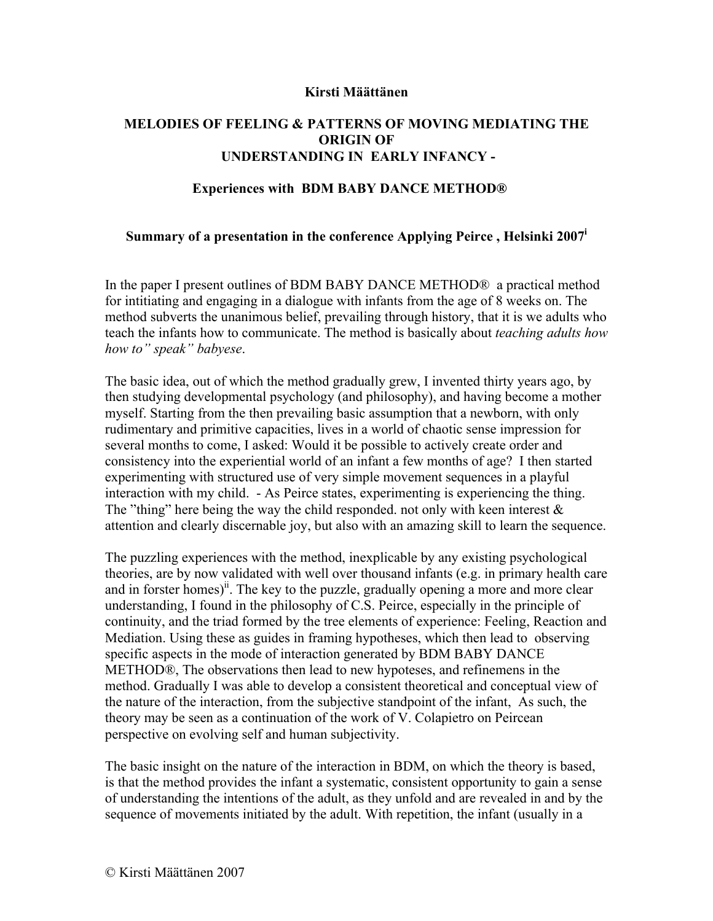## **Kirsti Määttänen**

## **MELODIES OF FEELING & PATTERNS OF MOVING MEDIATING THE ORIGIN OF UNDERSTANDING IN EARLY INFANCY -**

## **Experiences with BDM BABY DANCE METHOD®**

## **Summary of a presentation in the conference Applying Peirce , Helsinki 2007i**

In the paper I present outlines of BDM BABY DANCE METHOD® a practical method for intitiating and engaging in a dialogue with infants from the age of 8 weeks on. The method subverts the unanimous belief, prevailing through history, that it is we adults who teach the infants how to communicate. The method is basically about *teaching adults how how to" speak" babyese*.

The basic idea, out of which the method gradually grew, I invented thirty years ago, by then studying developmental psychology (and philosophy), and having become a mother myself. Starting from the then prevailing basic assumption that a newborn, with only rudimentary and primitive capacities, lives in a world of chaotic sense impression for several months to come, I asked: Would it be possible to actively create order and consistency into the experiential world of an infant a few months of age? I then started experimenting with structured use of very simple movement sequences in a playful interaction with my child. - As Peirce states, experimenting is experiencing the thing. The "thing" here being the way the child responded. not only with keen interest  $\&$ attention and clearly discernable joy, but also with an amazing skill to learn the sequence.

The puzzling experiences with the method, inexplicable by any existing psychological theories, are by now validated with well over thousand infants (e.g. in primary health care and in forster homes)<sup>ii</sup>. The key to the puzzle, gradually opening a more and more clear understanding, I found in the philosophy of C.S. Peirce, especially in the principle of continuity, and the triad formed by the tree elements of experience: Feeling, Reaction and Mediation. Using these as guides in framing hypotheses, which then lead to observing specific aspects in the mode of interaction generated by BDM BABY DANCE METHOD®, The observations then lead to new hypoteses, and refinemens in the method. Gradually I was able to develop a consistent theoretical and conceptual view of the nature of the interaction, from the subjective standpoint of the infant, As such, the theory may be seen as a continuation of the work of V. Colapietro on Peircean perspective on evolving self and human subjectivity.

The basic insight on the nature of the interaction in BDM, on which the theory is based, is that the method provides the infant a systematic, consistent opportunity to gain a sense of understanding the intentions of the adult, as they unfold and are revealed in and by the sequence of movements initiated by the adult. With repetition, the infant (usually in a